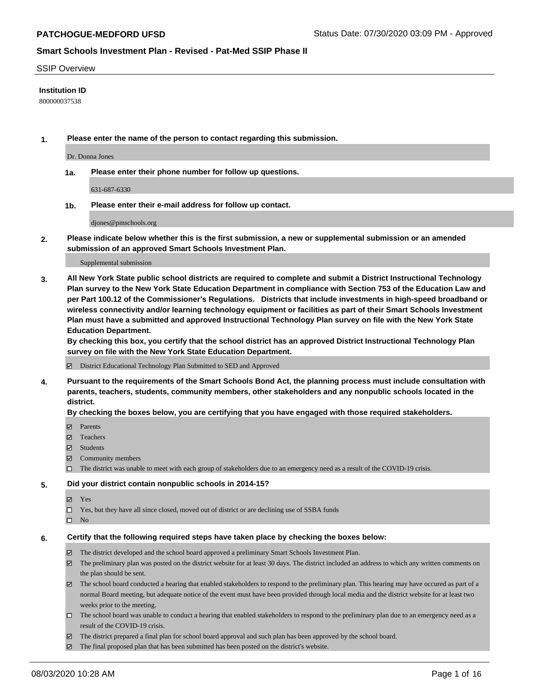#### SSIP Overview

#### **Institution ID**

800000037538

**1. Please enter the name of the person to contact regarding this submission.**

Dr. Donna Jones

**1a. Please enter their phone number for follow up questions.**

631-687-6330

**1b. Please enter their e-mail address for follow up contact.**

djones@pmschools.org

**2. Please indicate below whether this is the first submission, a new or supplemental submission or an amended submission of an approved Smart Schools Investment Plan.**

#### Supplemental submission

**3. All New York State public school districts are required to complete and submit a District Instructional Technology Plan survey to the New York State Education Department in compliance with Section 753 of the Education Law and per Part 100.12 of the Commissioner's Regulations. Districts that include investments in high-speed broadband or wireless connectivity and/or learning technology equipment or facilities as part of their Smart Schools Investment Plan must have a submitted and approved Instructional Technology Plan survey on file with the New York State Education Department.** 

**By checking this box, you certify that the school district has an approved District Instructional Technology Plan survey on file with the New York State Education Department.**

District Educational Technology Plan Submitted to SED and Approved

**4. Pursuant to the requirements of the Smart Schools Bond Act, the planning process must include consultation with parents, teachers, students, community members, other stakeholders and any nonpublic schools located in the district.** 

#### **By checking the boxes below, you are certifying that you have engaged with those required stakeholders.**

- **□** Parents
- Teachers
- Students
- $\boxtimes$  Community members
- The district was unable to meet with each group of stakeholders due to an emergency need as a result of the COVID-19 crisis.

#### **5. Did your district contain nonpublic schools in 2014-15?**

- **冈** Yes
- Yes, but they have all since closed, moved out of district or are declining use of SSBA funds
- $\square$  No

#### **6. Certify that the following required steps have taken place by checking the boxes below:**

- The district developed and the school board approved a preliminary Smart Schools Investment Plan.
- $\boxtimes$  The preliminary plan was posted on the district website for at least 30 days. The district included an address to which any written comments on the plan should be sent.
- The school board conducted a hearing that enabled stakeholders to respond to the preliminary plan. This hearing may have occured as part of a normal Board meeting, but adequate notice of the event must have been provided through local media and the district website for at least two weeks prior to the meeting.
- The school board was unable to conduct a hearing that enabled stakeholders to respond to the preliminary plan due to an emergency need as a result of the COVID-19 crisis.
- The district prepared a final plan for school board approval and such plan has been approved by the school board.
- $\boxtimes$  The final proposed plan that has been submitted has been posted on the district's website.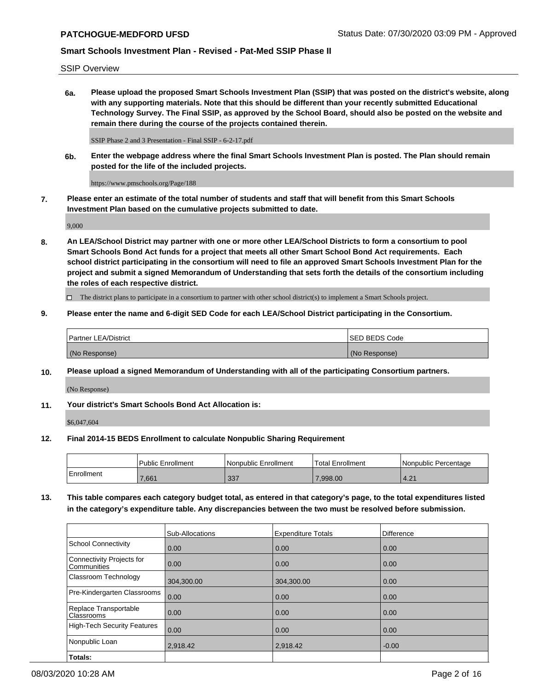SSIP Overview

**6a. Please upload the proposed Smart Schools Investment Plan (SSIP) that was posted on the district's website, along with any supporting materials. Note that this should be different than your recently submitted Educational Technology Survey. The Final SSIP, as approved by the School Board, should also be posted on the website and remain there during the course of the projects contained therein.**

SSIP Phase 2 and 3 Presentation - Final SSIP - 6-2-17.pdf

**6b. Enter the webpage address where the final Smart Schools Investment Plan is posted. The Plan should remain posted for the life of the included projects.**

https://www.pmschools.org/Page/188

**7. Please enter an estimate of the total number of students and staff that will benefit from this Smart Schools Investment Plan based on the cumulative projects submitted to date.**

9,000

**8. An LEA/School District may partner with one or more other LEA/School Districts to form a consortium to pool Smart Schools Bond Act funds for a project that meets all other Smart School Bond Act requirements. Each school district participating in the consortium will need to file an approved Smart Schools Investment Plan for the project and submit a signed Memorandum of Understanding that sets forth the details of the consortium including the roles of each respective district.**

 $\Box$  The district plans to participate in a consortium to partner with other school district(s) to implement a Smart Schools project.

#### **9. Please enter the name and 6-digit SED Code for each LEA/School District participating in the Consortium.**

| Partner LEA/District | ISED BEDS Code |
|----------------------|----------------|
| (No Response)        | (No Response)  |

## **10. Please upload a signed Memorandum of Understanding with all of the participating Consortium partners.**

(No Response)

## **11. Your district's Smart Schools Bond Act Allocation is:**

\$6,047,604

#### **12. Final 2014-15 BEDS Enrollment to calculate Nonpublic Sharing Requirement**

|            | Public Enrollment | Nonpublic Enrollment | Total Enrollment | I Nonpublic Percentage |
|------------|-------------------|----------------------|------------------|------------------------|
| Enrollment | .661              | 227<br>ാാ '          | 0.998.00         | 4.21                   |

**13. This table compares each category budget total, as entered in that category's page, to the total expenditures listed in the category's expenditure table. Any discrepancies between the two must be resolved before submission.**

|                                          | Sub-Allocations | <b>Expenditure Totals</b> | Difference |
|------------------------------------------|-----------------|---------------------------|------------|
| <b>School Connectivity</b>               | 0.00            | 0.00                      | 0.00       |
| Connectivity Projects for<br>Communities | 0.00            | 0.00                      | 0.00       |
| Classroom Technology                     | 304,300.00      | 304,300.00                | 0.00       |
| Pre-Kindergarten Classrooms              | 0.00            | 0.00                      | 0.00       |
| Replace Transportable<br>Classrooms      | 0.00            | 0.00                      | 0.00       |
| <b>High-Tech Security Features</b>       | 0.00            | 0.00                      | 0.00       |
| Nonpublic Loan                           | 2,918.42        | 2,918.42                  | $-0.00$    |
| Totals:                                  |                 |                           |            |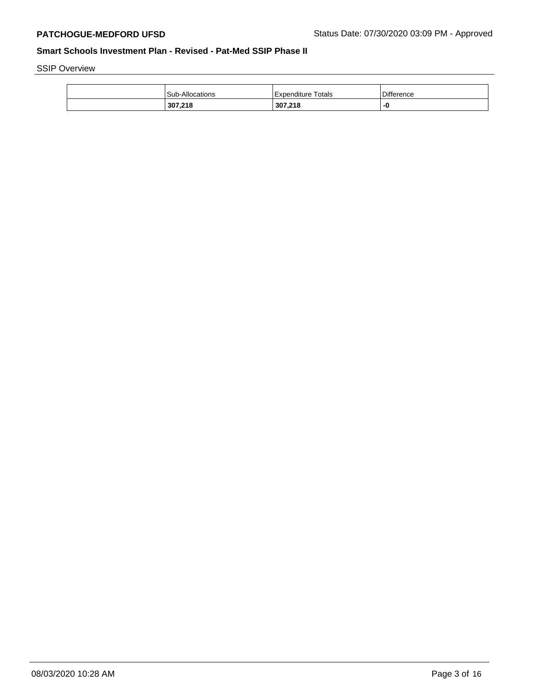SSIP Overview

| 307,218         | 307,218               | -0                |
|-----------------|-----------------------|-------------------|
| Sub-Allocations | Totals<br>Expenditure | <b>Difference</b> |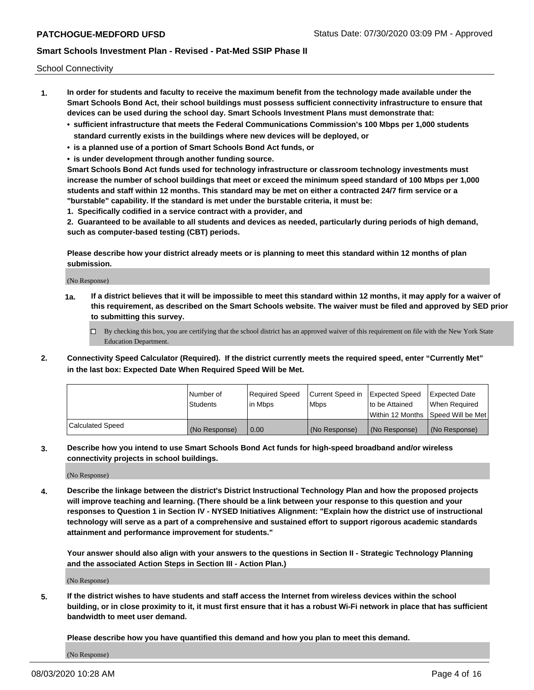School Connectivity

- **1. In order for students and faculty to receive the maximum benefit from the technology made available under the Smart Schools Bond Act, their school buildings must possess sufficient connectivity infrastructure to ensure that devices can be used during the school day. Smart Schools Investment Plans must demonstrate that:**
	- **• sufficient infrastructure that meets the Federal Communications Commission's 100 Mbps per 1,000 students standard currently exists in the buildings where new devices will be deployed, or**
	- **• is a planned use of a portion of Smart Schools Bond Act funds, or**
	- **• is under development through another funding source.**

**Smart Schools Bond Act funds used for technology infrastructure or classroom technology investments must increase the number of school buildings that meet or exceed the minimum speed standard of 100 Mbps per 1,000 students and staff within 12 months. This standard may be met on either a contracted 24/7 firm service or a "burstable" capability. If the standard is met under the burstable criteria, it must be:**

**1. Specifically codified in a service contract with a provider, and**

**2. Guaranteed to be available to all students and devices as needed, particularly during periods of high demand, such as computer-based testing (CBT) periods.**

**Please describe how your district already meets or is planning to meet this standard within 12 months of plan submission.**

(No Response)

**1a. If a district believes that it will be impossible to meet this standard within 12 months, it may apply for a waiver of this requirement, as described on the Smart Schools website. The waiver must be filed and approved by SED prior to submitting this survey.**

 $\Box$  By checking this box, you are certifying that the school district has an approved waiver of this requirement on file with the New York State Education Department.

**2. Connectivity Speed Calculator (Required). If the district currently meets the required speed, enter "Currently Met" in the last box: Expected Date When Required Speed Will be Met.**

|                  | l Number of     | Required Speed | Current Speed in | Expected Speed | Expected Date                        |
|------------------|-----------------|----------------|------------------|----------------|--------------------------------------|
|                  | <b>Students</b> | In Mbps        | <b>Mbps</b>      | to be Attained | When Required                        |
|                  |                 |                |                  |                | Within 12 Months 1Speed Will be Met1 |
| Calculated Speed | (No Response)   | 0.00           | (No Response)    | (No Response)  | l (No Response)                      |

**3. Describe how you intend to use Smart Schools Bond Act funds for high-speed broadband and/or wireless connectivity projects in school buildings.**

(No Response)

**4. Describe the linkage between the district's District Instructional Technology Plan and how the proposed projects will improve teaching and learning. (There should be a link between your response to this question and your responses to Question 1 in Section IV - NYSED Initiatives Alignment: "Explain how the district use of instructional technology will serve as a part of a comprehensive and sustained effort to support rigorous academic standards attainment and performance improvement for students."** 

**Your answer should also align with your answers to the questions in Section II - Strategic Technology Planning and the associated Action Steps in Section III - Action Plan.)**

(No Response)

**5. If the district wishes to have students and staff access the Internet from wireless devices within the school building, or in close proximity to it, it must first ensure that it has a robust Wi-Fi network in place that has sufficient bandwidth to meet user demand.**

**Please describe how you have quantified this demand and how you plan to meet this demand.**

(No Response)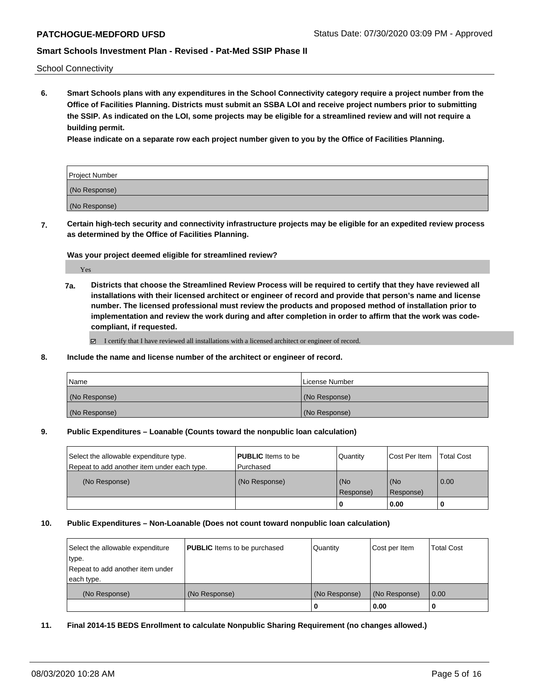School Connectivity

**6. Smart Schools plans with any expenditures in the School Connectivity category require a project number from the Office of Facilities Planning. Districts must submit an SSBA LOI and receive project numbers prior to submitting the SSIP. As indicated on the LOI, some projects may be eligible for a streamlined review and will not require a building permit.**

**Please indicate on a separate row each project number given to you by the Office of Facilities Planning.**

| Project Number |  |
|----------------|--|
| (No Response)  |  |
| (No Response)  |  |

**7. Certain high-tech security and connectivity infrastructure projects may be eligible for an expedited review process as determined by the Office of Facilities Planning.**

**Was your project deemed eligible for streamlined review?**

Yes

**7a. Districts that choose the Streamlined Review Process will be required to certify that they have reviewed all installations with their licensed architect or engineer of record and provide that person's name and license number. The licensed professional must review the products and proposed method of installation prior to implementation and review the work during and after completion in order to affirm that the work was codecompliant, if requested.**

■ I certify that I have reviewed all installations with a licensed architect or engineer of record.

#### **8. Include the name and license number of the architect or engineer of record.**

| <b>Name</b>   | License Number |
|---------------|----------------|
| (No Response) | (No Response)  |
| (No Response) | (No Response)  |

#### **9. Public Expenditures – Loanable (Counts toward the nonpublic loan calculation)**

| Select the allowable expenditure type.<br>Repeat to add another item under each type. | <b>PUBLIC</b> Items to be<br>l Purchased | Quantity             | Cost Per Item    | <b>Total Cost</b> |
|---------------------------------------------------------------------------------------|------------------------------------------|----------------------|------------------|-------------------|
| (No Response)                                                                         | (No Response)                            | l (No<br>l Response) | (No<br>Response) | $\overline{0.00}$ |
|                                                                                       |                                          |                      | 0.00             |                   |

#### **10. Public Expenditures – Non-Loanable (Does not count toward nonpublic loan calculation)**

| Select the allowable expenditure          | <b>PUBLIC</b> Items to be purchased | Quantity      | Cost per Item | <b>Total Cost</b> |
|-------------------------------------------|-------------------------------------|---------------|---------------|-------------------|
| type.<br>Repeat to add another item under |                                     |               |               |                   |
| each type.                                |                                     |               |               |                   |
| (No Response)                             | (No Response)                       | (No Response) | (No Response) | 0.00              |
|                                           |                                     | U             | 0.00          |                   |

#### **11. Final 2014-15 BEDS Enrollment to calculate Nonpublic Sharing Requirement (no changes allowed.)**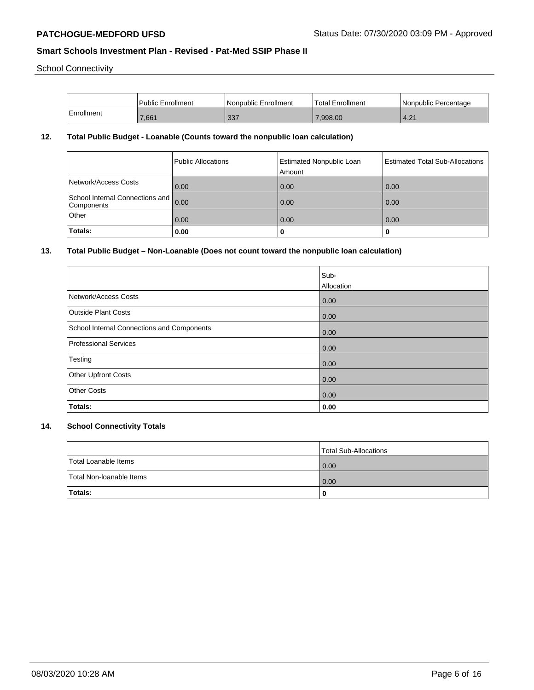School Connectivity

|            | l Public Enrollment | Nonpublic Enrollment | <b>Total Enrollment</b> | I Nonpublic Percentage |
|------------|---------------------|----------------------|-------------------------|------------------------|
| Enrollment | 7,661               | 337                  | 7.998.00                | .4.21                  |

# **12. Total Public Budget - Loanable (Counts toward the nonpublic loan calculation)**

|                                                    | Public Allocations | <b>Estimated Nonpublic Loan</b><br>Amount | Estimated Total Sub-Allocations |
|----------------------------------------------------|--------------------|-------------------------------------------|---------------------------------|
| Network/Access Costs                               | 0.00               | 0.00                                      | 0.00                            |
| School Internal Connections and 0.00<br>Components |                    | 0.00                                      | 0.00                            |
| Other                                              | 0.00               | 0.00                                      | 0.00                            |
| Totals:                                            | 0.00               | 0                                         |                                 |

# **13. Total Public Budget – Non-Loanable (Does not count toward the nonpublic loan calculation)**

|                                                   | Sub-<br>Allocation |
|---------------------------------------------------|--------------------|
| Network/Access Costs                              | 0.00               |
| <b>Outside Plant Costs</b>                        | 0.00               |
| <b>School Internal Connections and Components</b> | 0.00               |
| <b>Professional Services</b>                      | 0.00               |
| Testing                                           | 0.00               |
| Other Upfront Costs                               | 0.00               |
| <b>Other Costs</b>                                | 0.00               |
| Totals:                                           | 0.00               |

# **14. School Connectivity Totals**

|                          | Total Sub-Allocations |
|--------------------------|-----------------------|
| Total Loanable Items     | 0.00                  |
| Total Non-Ioanable Items | 0.00                  |
| Totals:                  | 0                     |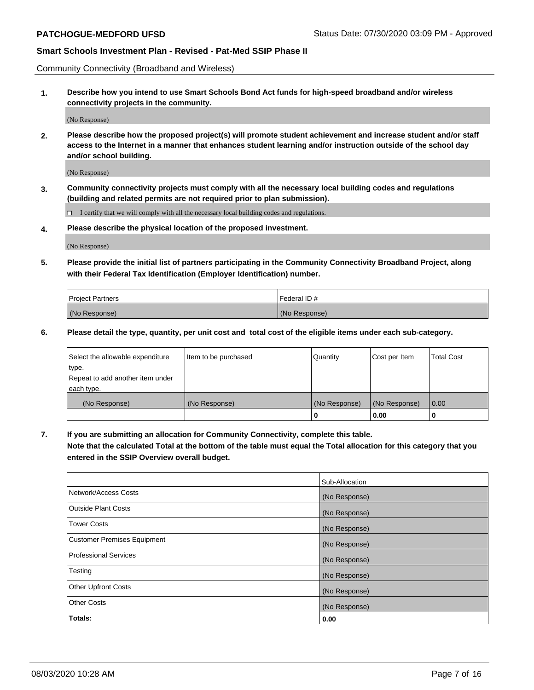Community Connectivity (Broadband and Wireless)

**1. Describe how you intend to use Smart Schools Bond Act funds for high-speed broadband and/or wireless connectivity projects in the community.**

(No Response)

**2. Please describe how the proposed project(s) will promote student achievement and increase student and/or staff access to the Internet in a manner that enhances student learning and/or instruction outside of the school day and/or school building.**

(No Response)

**3. Community connectivity projects must comply with all the necessary local building codes and regulations (building and related permits are not required prior to plan submission).**

 $\Box$  I certify that we will comply with all the necessary local building codes and regulations.

**4. Please describe the physical location of the proposed investment.**

(No Response)

**5. Please provide the initial list of partners participating in the Community Connectivity Broadband Project, along with their Federal Tax Identification (Employer Identification) number.**

| <b>Project Partners</b> | l Federal ID # |
|-------------------------|----------------|
| (No Response)           | (No Response)  |

**6. Please detail the type, quantity, per unit cost and total cost of the eligible items under each sub-category.**

| Select the allowable expenditure | Item to be purchased | Quantity      | Cost per Item | <b>Total Cost</b> |
|----------------------------------|----------------------|---------------|---------------|-------------------|
| type.                            |                      |               |               |                   |
| Repeat to add another item under |                      |               |               |                   |
| each type.                       |                      |               |               |                   |
| (No Response)                    | (No Response)        | (No Response) | (No Response) | 0.00              |
|                                  |                      | o             | 0.00          |                   |

**7. If you are submitting an allocation for Community Connectivity, complete this table.**

**Note that the calculated Total at the bottom of the table must equal the Total allocation for this category that you entered in the SSIP Overview overall budget.**

|                                    | Sub-Allocation |
|------------------------------------|----------------|
| Network/Access Costs               | (No Response)  |
| Outside Plant Costs                | (No Response)  |
| <b>Tower Costs</b>                 | (No Response)  |
| <b>Customer Premises Equipment</b> | (No Response)  |
| <b>Professional Services</b>       | (No Response)  |
| Testing                            | (No Response)  |
| <b>Other Upfront Costs</b>         | (No Response)  |
| <b>Other Costs</b>                 | (No Response)  |
| Totals:                            | 0.00           |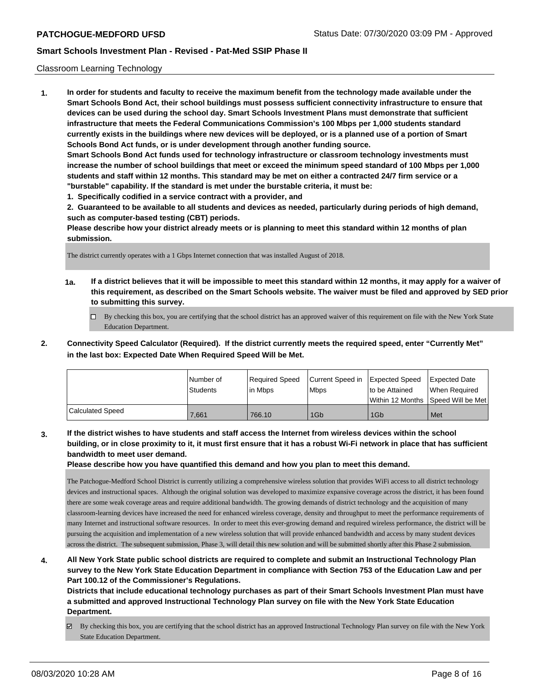## Classroom Learning Technology

**1. In order for students and faculty to receive the maximum benefit from the technology made available under the Smart Schools Bond Act, their school buildings must possess sufficient connectivity infrastructure to ensure that devices can be used during the school day. Smart Schools Investment Plans must demonstrate that sufficient infrastructure that meets the Federal Communications Commission's 100 Mbps per 1,000 students standard currently exists in the buildings where new devices will be deployed, or is a planned use of a portion of Smart Schools Bond Act funds, or is under development through another funding source. Smart Schools Bond Act funds used for technology infrastructure or classroom technology investments must increase the number of school buildings that meet or exceed the minimum speed standard of 100 Mbps per 1,000 students and staff within 12 months. This standard may be met on either a contracted 24/7 firm service or a "burstable" capability. If the standard is met under the burstable criteria, it must be:**

**1. Specifically codified in a service contract with a provider, and**

**2. Guaranteed to be available to all students and devices as needed, particularly during periods of high demand, such as computer-based testing (CBT) periods.**

**Please describe how your district already meets or is planning to meet this standard within 12 months of plan submission.**

The district currently operates with a 1 Gbps Internet connection that was installed August of 2018.

- **1a. If a district believes that it will be impossible to meet this standard within 12 months, it may apply for a waiver of this requirement, as described on the Smart Schools website. The waiver must be filed and approved by SED prior to submitting this survey.**
	- By checking this box, you are certifying that the school district has an approved waiver of this requirement on file with the New York State Education Department.
- **2. Connectivity Speed Calculator (Required). If the district currently meets the required speed, enter "Currently Met" in the last box: Expected Date When Required Speed Will be Met.**

|                         | l Number of<br>Students | Required Speed<br>l in Mbps | Current Speed in Expected Speed<br><b>Mbps</b> | to be Attained  | <b>Expected Date</b><br>When Required<br>Within 12 Months ISpeed Will be Met l |
|-------------------------|-------------------------|-----------------------------|------------------------------------------------|-----------------|--------------------------------------------------------------------------------|
| <b>Calculated Speed</b> | 7.661                   | 766.10                      | 1G <sub>b</sub>                                | 1G <sub>b</sub> | Met                                                                            |

**3. If the district wishes to have students and staff access the Internet from wireless devices within the school building, or in close proximity to it, it must first ensure that it has a robust Wi-Fi network in place that has sufficient bandwidth to meet user demand.**

**Please describe how you have quantified this demand and how you plan to meet this demand.**

The Patchogue-Medford School District is currently utilizing a comprehensive wireless solution that provides WiFi access to all district technology devices and instructional spaces. Although the original solution was developed to maximize expansive coverage across the district, it has been found there are some weak coverage areas and require additional bandwidth. The growing demands of district technology and the acquisition of many classroom-learning devices have increased the need for enhanced wireless coverage, density and throughput to meet the performance requirements of many Internet and instructional software resources. In order to meet this ever-growing demand and required wireless performance, the district will be pursuing the acquisition and implementation of a new wireless solution that will provide enhanced bandwidth and access by many student devices across the district. The subsequent submission, Phase 3, will detail this new solution and will be submitted shortly after this Phase 2 submission.

**4. All New York State public school districts are required to complete and submit an Instructional Technology Plan survey to the New York State Education Department in compliance with Section 753 of the Education Law and per Part 100.12 of the Commissioner's Regulations.**

**Districts that include educational technology purchases as part of their Smart Schools Investment Plan must have a submitted and approved Instructional Technology Plan survey on file with the New York State Education Department.**

By checking this box, you are certifying that the school district has an approved Instructional Technology Plan survey on file with the New York State Education Department.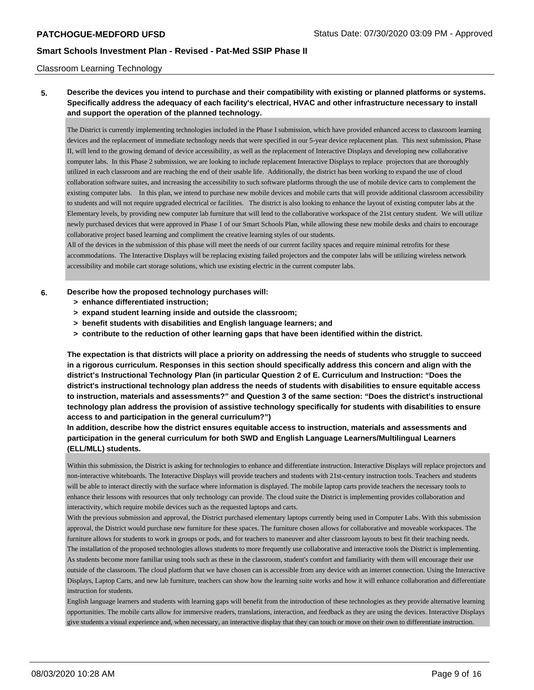#### Classroom Learning Technology

# **5. Describe the devices you intend to purchase and their compatibility with existing or planned platforms or systems. Specifically address the adequacy of each facility's electrical, HVAC and other infrastructure necessary to install and support the operation of the planned technology.**

The District is currently implementing technologies included in the Phase I submission, which have provided enhanced access to classroom learning devices and the replacement of immediate technology needs that were specified in our 5-year device replacement plan. This next submission, Phase II, will lend to the growing demand of device accessibility, as well as the replacement of Interactive Displays and developing new collaborative computer labs. In this Phase 2 submission, we are looking to include replacement Interactive Displays to replace projectors that are thoroughly utilized in each classroom and are reaching the end of their usable life. Additionally, the district has been working to expand the use of cloud collaboration software suites, and increasing the accessibility to such software platforms through the use of mobile device carts to complement the existing computer labs. In this plan, we intend to purchase new mobile devices and mobile carts that will provide additional classroom accessibility to students and will not require upgraded electrical or facilities. The district is also looking to enhance the layout of existing computer labs at the Elementary levels, by providing new computer lab furniture that will lend to the collaborative workspace of the 21st century student. We will utilize newly purchased devices that were approved in Phase 1 of our Smart Schools Plan, while allowing these new mobile desks and chairs to encourage collaborative project based learning and compliment the creative learning styles of our students.

All of the devices in the submission of this phase will meet the needs of our current facility spaces and require minimal retrofits for these accommodations. The Interactive Displays will be replacing existing failed projectors and the computer labs will be utilizing wireless network accessibility and mobile cart storage solutions, which use existing electric in the current computer labs.

#### **6. Describe how the proposed technology purchases will:**

- **> enhance differentiated instruction;**
- **> expand student learning inside and outside the classroom;**
- **> benefit students with disabilities and English language learners; and**
- **> contribute to the reduction of other learning gaps that have been identified within the district.**

**The expectation is that districts will place a priority on addressing the needs of students who struggle to succeed in a rigorous curriculum. Responses in this section should specifically address this concern and align with the district's Instructional Technology Plan (in particular Question 2 of E. Curriculum and Instruction: "Does the district's instructional technology plan address the needs of students with disabilities to ensure equitable access to instruction, materials and assessments?" and Question 3 of the same section: "Does the district's instructional technology plan address the provision of assistive technology specifically for students with disabilities to ensure access to and participation in the general curriculum?")**

**In addition, describe how the district ensures equitable access to instruction, materials and assessments and participation in the general curriculum for both SWD and English Language Learners/Multilingual Learners (ELL/MLL) students.**

Within this submission, the District is asking for technologies to enhance and differentiate instruction. Interactive Displays will replace projectors and non-interactive whiteboards. The Interactive Displays will provide teachers and students with 21st-century instruction tools. Teachers and students will be able to interact directly with the surface where information is displayed. The mobile laptop carts provide teachers the necessary tools to enhance their lessons with resources that only technology can provide. The cloud suite the District is implementing provides collaboration and interactivity, which require mobile devices such as the requested laptops and carts.

With the previous submission and approval, the District purchased elementary laptops currently being used in Computer Labs. With this submission approval, the District would purchase new furniture for these spaces. The furniture chosen allows for collaborative and moveable workspaces. The furniture allows for students to work in groups or pods, and for teachers to maneuver and alter classroom layouts to best fit their teaching needs. The installation of the proposed technologies allows students to more frequently use collaborative and interactive tools the District is implementing. As students become more familiar using tools such as these in the classroom, student's comfort and familiarity with them will encourage their use outside of the classroom. The cloud platform that we have chosen can is accessible from any device with an internet connection. Using the Interactive Displays, Laptop Carts, and new lab furniture, teachers can show how the learning suite works and how it will enhance collaboration and differentiate instruction for students.

English language learners and students with learning gaps will benefit from the introduction of these technologies as they provide alternative learning opportunities. The mobile carts allow for immersive readers, translations, interaction, and feedback as they are using the devices. Interactive Displays give students a visual experience and, when necessary, an interactive display that they can touch or move on their own to differentiate instruction.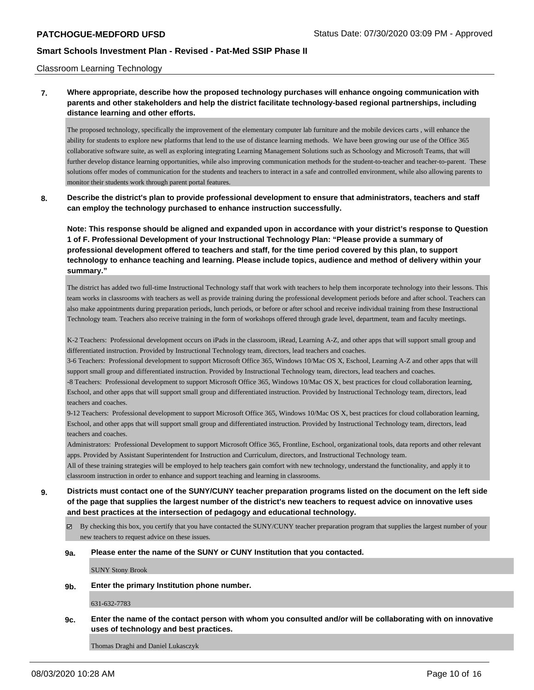#### Classroom Learning Technology

**7. Where appropriate, describe how the proposed technology purchases will enhance ongoing communication with parents and other stakeholders and help the district facilitate technology-based regional partnerships, including distance learning and other efforts.**

The proposed technology, specifically the improvement of the elementary computer lab furniture and the mobile devices carts , will enhance the ability for students to explore new platforms that lend to the use of distance learning methods. We have been growing our use of the Office 365 collaborative software suite, as well as exploring integrating Learning Management Solutions such as Schoology and Microsoft Teams, that will further develop distance learning opportunities, while also improving communication methods for the student-to-teacher and teacher-to-parent. These solutions offer modes of communication for the students and teachers to interact in a safe and controlled environment, while also allowing parents to monitor their students work through parent portal features.

**8. Describe the district's plan to provide professional development to ensure that administrators, teachers and staff can employ the technology purchased to enhance instruction successfully.**

**Note: This response should be aligned and expanded upon in accordance with your district's response to Question 1 of F. Professional Development of your Instructional Technology Plan: "Please provide a summary of professional development offered to teachers and staff, for the time period covered by this plan, to support technology to enhance teaching and learning. Please include topics, audience and method of delivery within your summary."**

The district has added two full-time Instructional Technology staff that work with teachers to help them incorporate technology into their lessons. This team works in classrooms with teachers as well as provide training during the professional development periods before and after school. Teachers can also make appointments during preparation periods, lunch periods, or before or after school and receive individual training from these Instructional Technology team. Teachers also receive training in the form of workshops offered through grade level, department, team and faculty meetings.

K-2 Teachers: Professional development occurs on iPads in the classroom, iRead, Learning A-Z, and other apps that will support small group and differentiated instruction. Provided by Instructional Technology team, directors, lead teachers and coaches.

3-6 Teachers: Professional development to support Microsoft Office 365, Windows 10/Mac OS X, Eschool, Learning A-Z and other apps that will support small group and differentiated instruction. Provided by Instructional Technology team, directors, lead teachers and coaches.

-8 Teachers: Professional development to support Microsoft Office 365, Windows 10/Mac OS X, best practices for cloud collaboration learning, Eschool, and other apps that will support small group and differentiated instruction. Provided by Instructional Technology team, directors, lead teachers and coaches.

9-12 Teachers: Professional development to support Microsoft Office 365, Windows 10/Mac OS X, best practices for cloud collaboration learning, Eschool, and other apps that will support small group and differentiated instruction. Provided by Instructional Technology team, directors, lead teachers and coaches.

Administrators: Professional Development to support Microsoft Office 365, Frontline, Eschool, organizational tools, data reports and other relevant apps. Provided by Assistant Superintendent for Instruction and Curriculum, directors, and Instructional Technology team.

All of these training strategies will be employed to help teachers gain comfort with new technology, understand the functionality, and apply it to classroom instruction in order to enhance and support teaching and learning in classrooms.

**9. Districts must contact one of the SUNY/CUNY teacher preparation programs listed on the document on the left side of the page that supplies the largest number of the district's new teachers to request advice on innovative uses and best practices at the intersection of pedagogy and educational technology.**

 $\boxtimes$  By checking this box, you certify that you have contacted the SUNY/CUNY teacher preparation program that supplies the largest number of your new teachers to request advice on these issues.

#### **9a. Please enter the name of the SUNY or CUNY Institution that you contacted.**

SUNY Stony Brook

**9b. Enter the primary Institution phone number.**

631-632-7783

**9c. Enter the name of the contact person with whom you consulted and/or will be collaborating with on innovative uses of technology and best practices.**

Thomas Draghi and Daniel Lukasczyk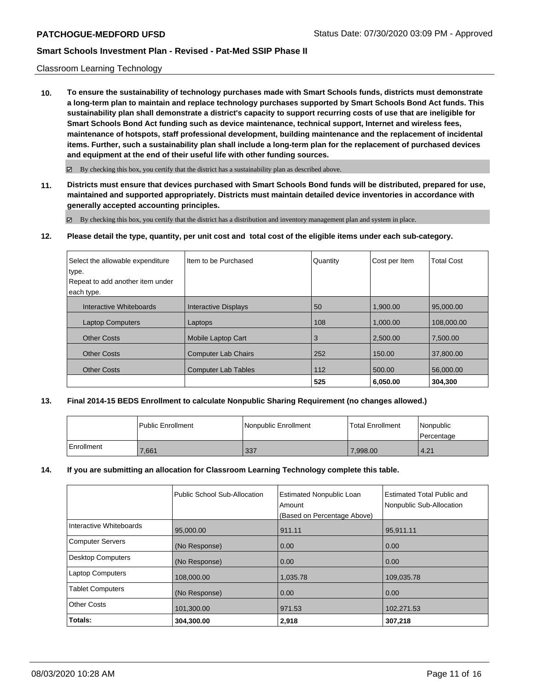#### Classroom Learning Technology

**10. To ensure the sustainability of technology purchases made with Smart Schools funds, districts must demonstrate a long-term plan to maintain and replace technology purchases supported by Smart Schools Bond Act funds. This sustainability plan shall demonstrate a district's capacity to support recurring costs of use that are ineligible for Smart Schools Bond Act funding such as device maintenance, technical support, Internet and wireless fees, maintenance of hotspots, staff professional development, building maintenance and the replacement of incidental items. Further, such a sustainability plan shall include a long-term plan for the replacement of purchased devices and equipment at the end of their useful life with other funding sources.**

 $\boxtimes$  By checking this box, you certify that the district has a sustainability plan as described above.

**11. Districts must ensure that devices purchased with Smart Schools Bond funds will be distributed, prepared for use, maintained and supported appropriately. Districts must maintain detailed device inventories in accordance with generally accepted accounting principles.**

By checking this box, you certify that the district has a distribution and inventory management plan and system in place.

**12. Please detail the type, quantity, per unit cost and total cost of the eligible items under each sub-category.**

| Select the allowable expenditure<br>type. | Item to be Purchased        | Quantity | Cost per Item | <b>Total Cost</b> |
|-------------------------------------------|-----------------------------|----------|---------------|-------------------|
| Repeat to add another item under          |                             |          |               |                   |
| each type.                                |                             |          |               |                   |
| Interactive Whiteboards                   | <b>Interactive Displays</b> | 50       | 1.900.00      | 95,000,00         |
| <b>Laptop Computers</b>                   | Laptops                     | 108      | 1.000.00      | 108,000.00        |
| <b>Other Costs</b>                        | Mobile Laptop Cart          | 3        | 2,500.00      | 7,500.00          |
| <b>Other Costs</b>                        | <b>Computer Lab Chairs</b>  | 252      | 150.00        | 37,800,00         |
| <b>Other Costs</b>                        | <b>Computer Lab Tables</b>  | 112      | 500.00        | 56,000,00         |
|                                           |                             | 525      | 6.050.00      | 304,300           |

## **13. Final 2014-15 BEDS Enrollment to calculate Nonpublic Sharing Requirement (no changes allowed.)**

|            | l Public Enrollment | Nonpublic Enrollment | <b>Total Enrollment</b> | Nonpublic<br>Percentage |
|------------|---------------------|----------------------|-------------------------|-------------------------|
| Enrollment | 7,661               | 337                  | 7.998.00                | 4.21                    |

## **14. If you are submitting an allocation for Classroom Learning Technology complete this table.**

|                          | Public School Sub-Allocation | <b>Estimated Nonpublic Loan</b><br>Amount<br>(Based on Percentage Above) | <b>Estimated Total Public and</b><br>Nonpublic Sub-Allocation |
|--------------------------|------------------------------|--------------------------------------------------------------------------|---------------------------------------------------------------|
| Interactive Whiteboards  | 95,000.00                    | 911.11                                                                   | 95,911.11                                                     |
| <b>Computer Servers</b>  | (No Response)                | 0.00                                                                     | 0.00                                                          |
| <b>Desktop Computers</b> | (No Response)                | 0.00                                                                     | 0.00                                                          |
| <b>Laptop Computers</b>  | 108,000.00                   | 1,035.78                                                                 | 109,035.78                                                    |
| <b>Tablet Computers</b>  | (No Response)                | 0.00                                                                     | 0.00                                                          |
| <b>Other Costs</b>       | 101,300.00                   | 971.53                                                                   | 102,271.53                                                    |
| Totals:                  | 304,300.00                   | 2,918                                                                    | 307,218                                                       |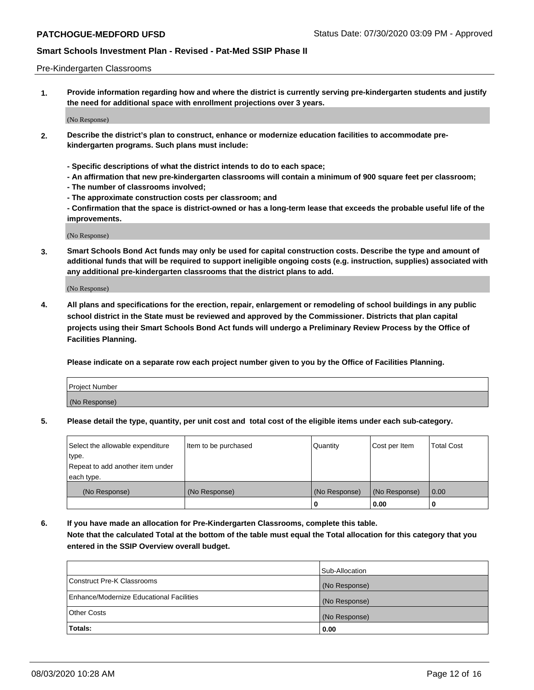#### Pre-Kindergarten Classrooms

**1. Provide information regarding how and where the district is currently serving pre-kindergarten students and justify the need for additional space with enrollment projections over 3 years.**

(No Response)

- **2. Describe the district's plan to construct, enhance or modernize education facilities to accommodate prekindergarten programs. Such plans must include:**
	- **Specific descriptions of what the district intends to do to each space;**
	- **An affirmation that new pre-kindergarten classrooms will contain a minimum of 900 square feet per classroom;**
	- **The number of classrooms involved;**
	- **The approximate construction costs per classroom; and**
	- **Confirmation that the space is district-owned or has a long-term lease that exceeds the probable useful life of the improvements.**

(No Response)

**3. Smart Schools Bond Act funds may only be used for capital construction costs. Describe the type and amount of additional funds that will be required to support ineligible ongoing costs (e.g. instruction, supplies) associated with any additional pre-kindergarten classrooms that the district plans to add.**

(No Response)

**4. All plans and specifications for the erection, repair, enlargement or remodeling of school buildings in any public school district in the State must be reviewed and approved by the Commissioner. Districts that plan capital projects using their Smart Schools Bond Act funds will undergo a Preliminary Review Process by the Office of Facilities Planning.**

**Please indicate on a separate row each project number given to you by the Office of Facilities Planning.**

| Project Number |  |
|----------------|--|
| (No Response)  |  |
|                |  |

**5. Please detail the type, quantity, per unit cost and total cost of the eligible items under each sub-category.**

| Select the allowable expenditure | Item to be purchased | Quantity      | Cost per Item | <b>Total Cost</b> |
|----------------------------------|----------------------|---------------|---------------|-------------------|
| type.                            |                      |               |               |                   |
| Repeat to add another item under |                      |               |               |                   |
| each type.                       |                      |               |               |                   |
| (No Response)                    | (No Response)        | (No Response) | (No Response) | 0.00              |
|                                  |                      | U             | 0.00          |                   |

**6. If you have made an allocation for Pre-Kindergarten Classrooms, complete this table. Note that the calculated Total at the bottom of the table must equal the Total allocation for this category that you entered in the SSIP Overview overall budget.**

|                                          | Sub-Allocation |
|------------------------------------------|----------------|
| Construct Pre-K Classrooms               | (No Response)  |
| Enhance/Modernize Educational Facilities | (No Response)  |
| <b>Other Costs</b>                       | (No Response)  |
| Totals:                                  | 0.00           |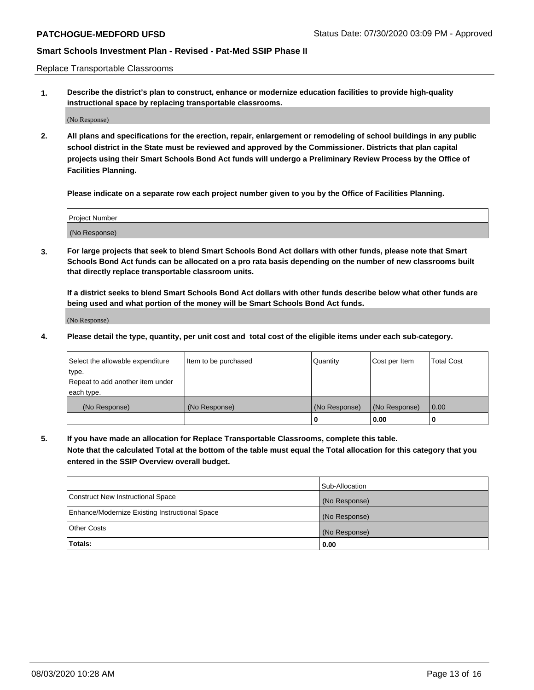Replace Transportable Classrooms

**1. Describe the district's plan to construct, enhance or modernize education facilities to provide high-quality instructional space by replacing transportable classrooms.**

(No Response)

**2. All plans and specifications for the erection, repair, enlargement or remodeling of school buildings in any public school district in the State must be reviewed and approved by the Commissioner. Districts that plan capital projects using their Smart Schools Bond Act funds will undergo a Preliminary Review Process by the Office of Facilities Planning.**

**Please indicate on a separate row each project number given to you by the Office of Facilities Planning.**

| Project Number |  |
|----------------|--|
|                |  |
|                |  |
|                |  |
| (No Response)  |  |
|                |  |
|                |  |

**3. For large projects that seek to blend Smart Schools Bond Act dollars with other funds, please note that Smart Schools Bond Act funds can be allocated on a pro rata basis depending on the number of new classrooms built that directly replace transportable classroom units.**

**If a district seeks to blend Smart Schools Bond Act dollars with other funds describe below what other funds are being used and what portion of the money will be Smart Schools Bond Act funds.**

(No Response)

**4. Please detail the type, quantity, per unit cost and total cost of the eligible items under each sub-category.**

| Select the allowable expenditure | Item to be purchased | Quantity      | Cost per Item | Total Cost |
|----------------------------------|----------------------|---------------|---------------|------------|
| ∣type.                           |                      |               |               |            |
| Repeat to add another item under |                      |               |               |            |
| each type.                       |                      |               |               |            |
| (No Response)                    | (No Response)        | (No Response) | (No Response) | 0.00       |
|                                  |                      | u             | 0.00          |            |

**5. If you have made an allocation for Replace Transportable Classrooms, complete this table. Note that the calculated Total at the bottom of the table must equal the Total allocation for this category that you entered in the SSIP Overview overall budget.**

|                                                | Sub-Allocation |
|------------------------------------------------|----------------|
| Construct New Instructional Space              | (No Response)  |
| Enhance/Modernize Existing Instructional Space | (No Response)  |
| Other Costs                                    | (No Response)  |
| Totals:                                        | 0.00           |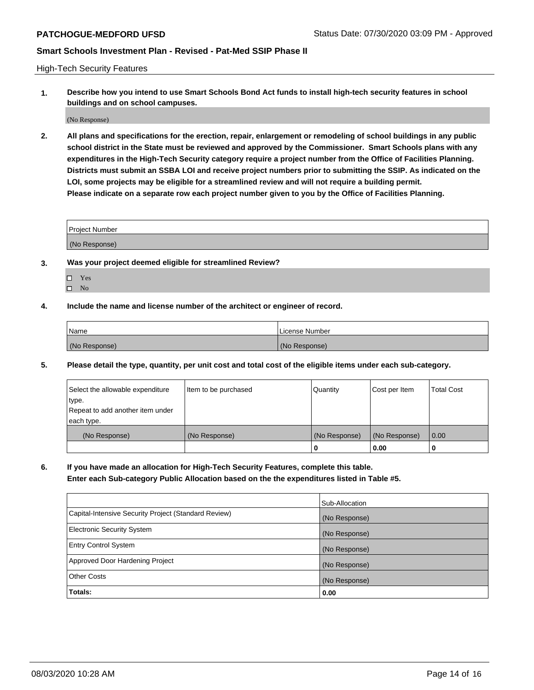High-Tech Security Features

**1. Describe how you intend to use Smart Schools Bond Act funds to install high-tech security features in school buildings and on school campuses.**

(No Response)

**2. All plans and specifications for the erection, repair, enlargement or remodeling of school buildings in any public school district in the State must be reviewed and approved by the Commissioner. Smart Schools plans with any expenditures in the High-Tech Security category require a project number from the Office of Facilities Planning. Districts must submit an SSBA LOI and receive project numbers prior to submitting the SSIP. As indicated on the LOI, some projects may be eligible for a streamlined review and will not require a building permit. Please indicate on a separate row each project number given to you by the Office of Facilities Planning.**

| <b>Project Number</b> |  |
|-----------------------|--|
| (No Response)         |  |

- **3. Was your project deemed eligible for streamlined Review?**
	- Yes
	- $\hfill \square$  No
- **4. Include the name and license number of the architect or engineer of record.**

| <b>Name</b>   | License Number |
|---------------|----------------|
| (No Response) | (No Response)  |

**5. Please detail the type, quantity, per unit cost and total cost of the eligible items under each sub-category.**

| Select the allowable expenditure | Item to be purchased | Quantity      | Cost per Item | <b>Total Cost</b> |
|----------------------------------|----------------------|---------------|---------------|-------------------|
| ∣type.                           |                      |               |               |                   |
| Repeat to add another item under |                      |               |               |                   |
| each type.                       |                      |               |               |                   |
| (No Response)                    | (No Response)        | (No Response) | (No Response) | 0.00              |
|                                  |                      | 0             | 0.00          |                   |

**6. If you have made an allocation for High-Tech Security Features, complete this table.**

**Enter each Sub-category Public Allocation based on the the expenditures listed in Table #5.**

|                                                      | Sub-Allocation |
|------------------------------------------------------|----------------|
| Capital-Intensive Security Project (Standard Review) | (No Response)  |
| <b>Electronic Security System</b>                    | (No Response)  |
| <b>Entry Control System</b>                          | (No Response)  |
| Approved Door Hardening Project                      | (No Response)  |
| <b>Other Costs</b>                                   | (No Response)  |
| Totals:                                              | 0.00           |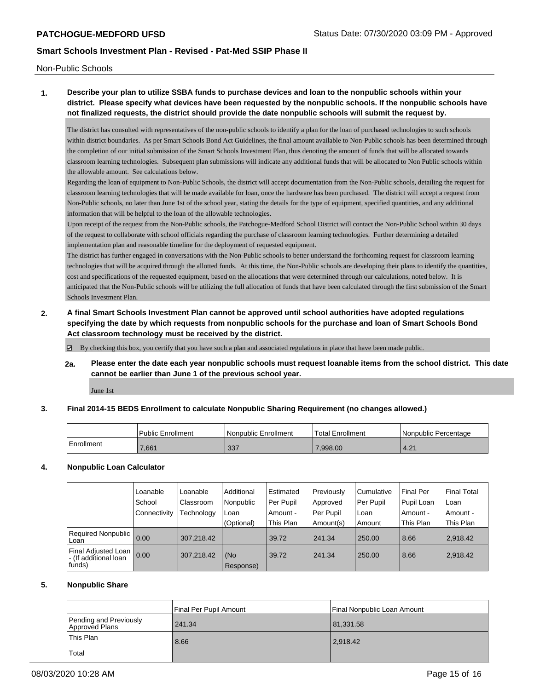Non-Public Schools

# **1. Describe your plan to utilize SSBA funds to purchase devices and loan to the nonpublic schools within your district. Please specify what devices have been requested by the nonpublic schools. If the nonpublic schools have not finalized requests, the district should provide the date nonpublic schools will submit the request by.**

The district has consulted with representatives of the non-public schools to identify a plan for the loan of purchased technologies to such schools within district boundaries. As per Smart Schools Bond Act Guidelines, the final amount available to Non-Public schools has been determined through the completion of our initial submission of the Smart Schools Investment Plan, thus denoting the amount of funds that will be allocated towards classroom learning technologies. Subsequent plan submissions will indicate any additional funds that will be allocated to Non Public schools within the allowable amount. See calculations below.

Regarding the loan of equipment to Non-Public Schools, the district will accept documentation from the Non-Public schools, detailing the request for classroom learning technologies that will be made available for loan, once the hardware has been purchased. The district will accept a request from Non-Public schools, no later than June 1st of the school year, stating the details for the type of equipment, specified quantities, and any additional information that will be helpful to the loan of the allowable technologies.

Upon receipt of the request from the Non-Public schools, the Patchogue-Medford School District will contact the Non-Public School within 30 days of the request to collaborate with school officials regarding the purchase of classroom learning technologies. Further determining a detailed implementation plan and reasonable timeline for the deployment of requested equipment.

The district has further engaged in conversations with the Non-Public schools to better understand the forthcoming request for classroom learning technologies that will be acquired through the allotted funds. At this time, the Non-Public schools are developing their plans to identify the quantities, cost and specifications of the requested equipment, based on the allocations that were determined through our calculations, noted below. It is anticipated that the Non-Public schools will be utilizing the full allocation of funds that have been calculated through the first submission of the Smart Schools Investment Plan.

**2. A final Smart Schools Investment Plan cannot be approved until school authorities have adopted regulations specifying the date by which requests from nonpublic schools for the purchase and loan of Smart Schools Bond Act classroom technology must be received by the district.**

By checking this box, you certify that you have such a plan and associated regulations in place that have been made public.

**2a. Please enter the date each year nonpublic schools must request loanable items from the school district. This date cannot be earlier than June 1 of the previous school year.**

June 1st

## **3. Final 2014-15 BEDS Enrollment to calculate Nonpublic Sharing Requirement (no changes allowed.)**

|            | <b>Public Enrollment</b> | l Nonpublic Enrollment | Total Enrollment | Nonpublic Percentage |
|------------|--------------------------|------------------------|------------------|----------------------|
| Enrollment | .661                     | 337                    | 7.998.00         | 4.21                 |

## **4. Nonpublic Loan Calculator**

|                                                        | Loanable     | Loanable   | Additional       | Estimated   | Previously | l Cumulative | <b>Final Per</b> | <b>Final Total</b> |
|--------------------------------------------------------|--------------|------------|------------------|-------------|------------|--------------|------------------|--------------------|
|                                                        | School       | Classroom  | l Nonpublic      | l Per Pupil | Approved   | Per Pupil    | Pupil Loan       | Loan               |
|                                                        | Connectivity | Technology | Loan             | Amount -    | Per Pupil  | l Loan       | Amount -         | Amount -           |
|                                                        |              |            | (Optional)       | This Plan   | Amount(s)  | Amount       | This Plan        | This Plan          |
| Required Nonpublic<br>Loan                             | 0.00         | 307.218.42 |                  | 39.72       | 241.34     | 250.00       | 8.66             | 2.918.42           |
| Final Adjusted Loan<br>- (If additional loan<br>funds) | 0.00         | 307.218.42 | (No<br>Response) | 39.72       | 241.34     | 250.00       | 8.66             | 2.918.42           |

## **5. Nonpublic Share**

|                                          | Final Per Pupil Amount | Final Nonpublic Loan Amount |
|------------------------------------------|------------------------|-----------------------------|
| Pending and Previously<br>Approved Plans | 241.34                 | 81,331.58                   |
| This Plan                                | 8.66                   | 2.918.42                    |
| Total                                    |                        |                             |